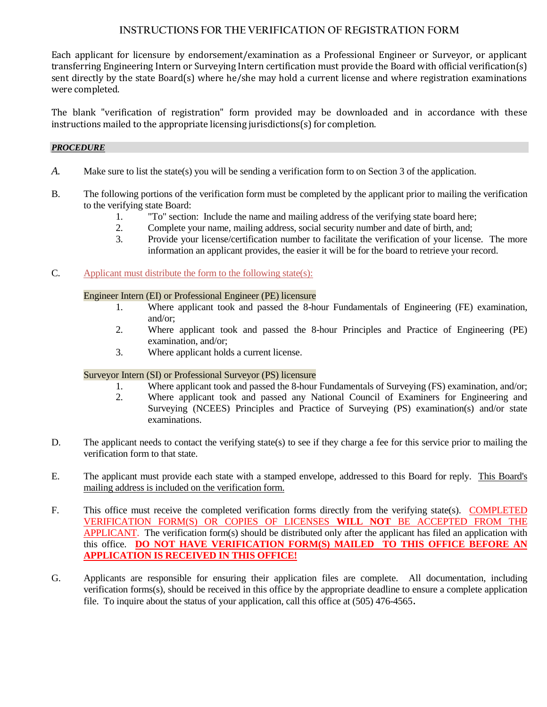## **INSTRUCTIONS FOR THE VERIFICATION OF REGISTRATION FORM**

Each applicant for licensure by endorsement/examination as a Professional Engineer or Surveyor, or applicant transferring Engineering Intern or Surveying Intern certification must provide the Board with official verification(s) sent directly by the state Board(s) where he/she may hold a current license and where registration examinations were completed.

The blank "verification of registration" form provided may be downloaded and in accordance with these instructions mailed to the appropriate licensing jurisdictions(s) for completion.

### *PROCEDURE*

- *A.* Make sure to list the state(s) you will be sending a verification form to on Section 3 of the application.
- B. The following portions of the verification form must be completed by the applicant prior to mailing the verification to the verifying state Board:
	- 1. "To" section: Include the name and mailing address of the verifying state board here;
	- 2. Complete your name, mailing address, social security number and date of birth, and;
	- 3. Provide your license/certification number to facilitate the verification of your license. The more information an applicant provides, the easier it will be for the board to retrieve your record.
- C. Applicant must distribute the form to the following state(s):

#### Engineer Intern (EI) or Professional Engineer (PE) licensure

- 1. Where applicant took and passed the 8-hour Fundamentals of Engineering (FE) examination, and/or;
- 2. Where applicant took and passed the 8-hour Principles and Practice of Engineering (PE) examination, and/or;
- 3. Where applicant holds a current license.

### Surveyor Intern (SI) or Professional Surveyor (PS) licensure

- 1. Where applicant took and passed the 8-hour Fundamentals of Surveying (FS) examination, and/or;
- 2. Where applicant took and passed any National Council of Examiners for Engineering and Surveying (NCEES) Principles and Practice of Surveying (PS) examination(s) and/or state examinations.
- D. The applicant needs to contact the verifying state(s) to see if they charge a fee for this service prior to mailing the verification form to that state.
- E. The applicant must provide each state with a stamped envelope, addressed to this Board for reply. This Board's mailing address is included on the verification form.
- F. This office must receive the completed verification forms directly from the verifying state(s). COMPLETED VERIFICATION FORM(S) OR COPIES OF LICENSES **WILL NOT** BE ACCEPTED FROM THE APPLICANT. The verification form(s) should be distributed only after the applicant has filed an application with this office. **DO NOT HAVE VERIFICATION FORM(S) MAILED TO THIS OFFICE BEFORE AN APPLICATION IS RECEIVED IN THIS OFFICE!**
- G. Applicants are responsible for ensuring their application files are complete. All documentation, including verification forms(s), should be received in this office by the appropriate deadline to ensure a complete application file. To inquire about the status of your application, call this office at (505) 476-4565.